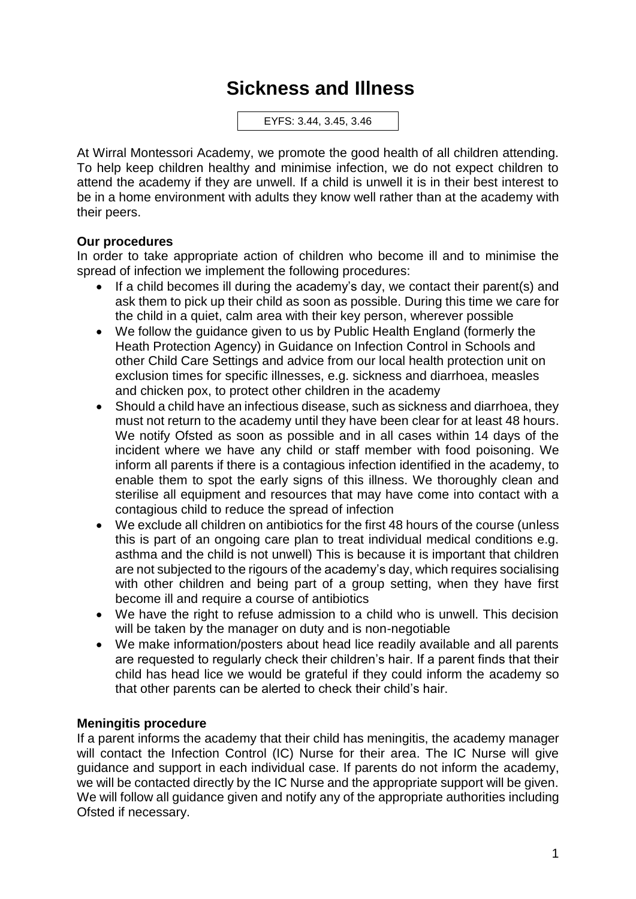## **Sickness and Illness**

EYFS: 3.44, 3.45, 3.46

At Wirral Montessori Academy, we promote the good health of all children attending. To help keep children healthy and minimise infection, we do not expect children to attend the academy if they are unwell. If a child is unwell it is in their best interest to be in a home environment with adults they know well rather than at the academy with their peers.

## **Our procedures**

In order to take appropriate action of children who become ill and to minimise the spread of infection we implement the following procedures:

- If a child becomes ill during the academy's day, we contact their parent(s) and ask them to pick up their child as soon as possible. During this time we care for the child in a quiet, calm area with their key person, wherever possible
- We follow the guidance given to us by Public Health England (formerly the Heath Protection Agency) in Guidance on Infection Control in Schools and other Child Care Settings and advice from our local health protection unit on exclusion times for specific illnesses, e.g. sickness and diarrhoea, measles and chicken pox, to protect other children in the academy
- Should a child have an infectious disease, such as sickness and diarrhoea, they must not return to the academy until they have been clear for at least 48 hours. We notify Ofsted as soon as possible and in all cases within 14 days of the incident where we have any child or staff member with food poisoning. We inform all parents if there is a contagious infection identified in the academy, to enable them to spot the early signs of this illness. We thoroughly clean and sterilise all equipment and resources that may have come into contact with a contagious child to reduce the spread of infection
- We exclude all children on antibiotics for the first 48 hours of the course (unless this is part of an ongoing care plan to treat individual medical conditions e.g. asthma and the child is not unwell) This is because it is important that children are not subjected to the rigours of the academy's day, which requires socialising with other children and being part of a group setting, when they have first become ill and require a course of antibiotics
- We have the right to refuse admission to a child who is unwell. This decision will be taken by the manager on duty and is non-negotiable
- We make information/posters about head lice readily available and all parents are requested to regularly check their children's hair. If a parent finds that their child has head lice we would be grateful if they could inform the academy so that other parents can be alerted to check their child's hair.

## **Meningitis procedure**

If a parent informs the academy that their child has meningitis, the academy manager will contact the Infection Control (IC) Nurse for their area. The IC Nurse will give guidance and support in each individual case. If parents do not inform the academy, we will be contacted directly by the IC Nurse and the appropriate support will be given. We will follow all guidance given and notify any of the appropriate authorities including Ofsted if necessary.